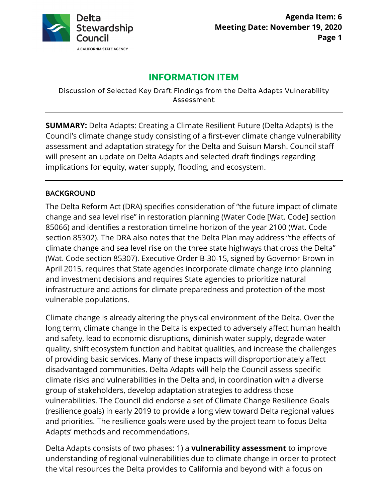

# **INFORMATION ITEM**

Discussion of Selected Key Draft Findings from the Delta Adapts Vulnerability Assessment

**SUMMARY:** Delta Adapts: Creating a Climate Resilient Future (Delta Adapts) is the Council's climate change study consisting of a first-ever climate change vulnerability assessment and adaptation strategy for the Delta and Suisun Marsh. Council staff will present an update on Delta Adapts and selected draft findings regarding implications for equity, water supply, flooding, and ecosystem.

### BACKGROUND

The Delta Reform Act (DRA) specifies consideration of "the future impact of climate change and sea level rise" in restoration planning (Water Code [Wat. Code] section 85066) and identifies a restoration timeline horizon of the year 2100 (Wat. Code section 85302). The DRA also notes that the Delta Plan may address "the effects of climate change and sea level rise on the three state highways that cross the Delta" (Wat. Code section 85307). Executive Order B-30-15, signed by Governor Brown in April 2015, requires that State agencies incorporate climate change into planning and investment decisions and requires State agencies to prioritize natural infrastructure and actions for climate preparedness and protection of the most vulnerable populations.

Climate change is already altering the physical environment of the Delta. Over the long term, climate change in the Delta is expected to adversely affect human health and safety, lead to economic disruptions, diminish water supply, degrade water quality, shift ecosystem function and habitat qualities, and increase the challenges of providing basic services. Many of these impacts will disproportionately affect disadvantaged communities. Delta Adapts will help the Council assess specific climate risks and vulnerabilities in the Delta and, in coordination with a diverse group of stakeholders, develop adaptation strategies to address those vulnerabilities. The Council did endorse a set of Climate Change Resilience Goals (resilience goals) in early 2019 to provide a long view toward Delta regional values and priorities. The resilience goals were used by the project team to focus Delta Adapts' methods and recommendations.

Delta Adapts consists of two phases: 1) a **vulnerability assessment** to improve understanding of regional vulnerabilities due to climate change in order to protect the vital resources the Delta provides to California and beyond with a focus on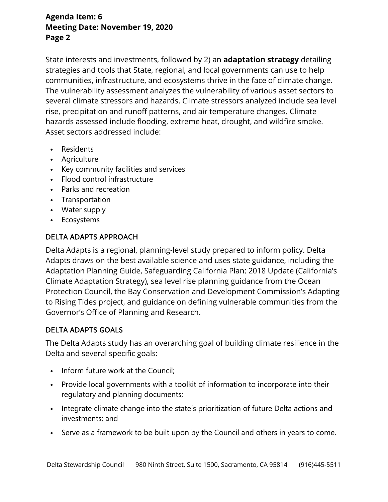State interests and investments, followed by 2) an **adaptation strategy** detailing strategies and tools that State, regional, and local governments can use to help communities, infrastructure, and ecosystems thrive in the face of climate change. The vulnerability assessment analyzes the vulnerability of various asset sectors to several climate stressors and hazards. Climate stressors analyzed include sea level rise, precipitation and runoff patterns, and air temperature changes. Climate hazards assessed include flooding, extreme heat, drought, and wildfire smoke. Asset sectors addressed include:

- Residents
- Agriculture
- Key community facilities and services
- Flood control infrastructure
- Parks and recreation
- Transportation
- Water supply
- Ecosystems

#### DELTA ADAPTS APPROACH

Delta Adapts is a regional, planning-level study prepared to inform policy. Delta Adapts draws on the best available science and uses state guidance, including the Adaptation Planning Guide, Safeguarding California Plan: 2018 Update (California's Climate Adaptation Strategy), sea level rise planning guidance from the Ocean Protection Council, the Bay Conservation and Development Commission's Adapting to Rising Tides project, and guidance on defining vulnerable communities from the Governor's Office of Planning and Research.

#### DELTA ADAPTS GOALS

The Delta Adapts study has an overarching goal of building climate resilience in the Delta and several specific goals:

- Inform future work at the Council;
- Provide local governments with a toolkit of information to incorporate into their regulatory and planning documents;
- Integrate climate change into the state's prioritization of future Delta actions and investments; and
- Serve as a framework to be built upon by the Council and others in years to come.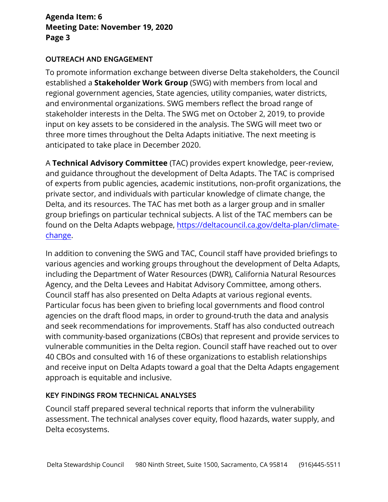#### OUTREACH AND ENGAGEMENT

To promote information exchange between diverse Delta stakeholders, the Council established a **Stakeholder Work Group** (SWG) with members from local and regional government agencies, State agencies, utility companies, water districts, and environmental organizations. SWG members reflect the broad range of stakeholder interests in the Delta. The SWG met on October 2, 2019, to provide input on key assets to be considered in the analysis. The SWG will meet two or three more times throughout the Delta Adapts initiative. The next meeting is anticipated to take place in December 2020.

A **Technical Advisory Committee** (TAC) provides expert knowledge, peer-review, and guidance throughout the development of Delta Adapts. The TAC is comprised of experts from public agencies, academic institutions, non-profit organizations, the private sector, and individuals with particular knowledge of climate change, the Delta, and its resources. The TAC has met both as a larger group and in smaller group briefings on particular technical subjects. A list of the TAC members can be found on the Delta Adapts webpage, [https://deltacouncil.ca.gov/delta-plan/climate](https://deltacouncil.ca.gov/delta-plan/climate-change)[change.](https://deltacouncil.ca.gov/delta-plan/climate-change)

In addition to convening the SWG and TAC, Council staff have provided briefings to various agencies and working groups throughout the development of Delta Adapts, including the Department of Water Resources (DWR), California Natural Resources Agency, and the Delta Levees and Habitat Advisory Committee, among others. Council staff has also presented on Delta Adapts at various regional events. Particular focus has been given to briefing local governments and flood control agencies on the draft flood maps, in order to ground-truth the data and analysis and seek recommendations for improvements. Staff has also conducted outreach with community-based organizations (CBOs) that represent and provide services to vulnerable communities in the Delta region. Council staff have reached out to over 40 CBOs and consulted with 16 of these organizations to establish relationships and receive input on Delta Adapts toward a goal that the Delta Adapts engagement approach is equitable and inclusive.

### KEY FINDINGS FROM TECHNICAL ANALYSES

Council staff prepared several technical reports that inform the vulnerability assessment. The technical analyses cover equity, flood hazards, water supply, and Delta ecosystems.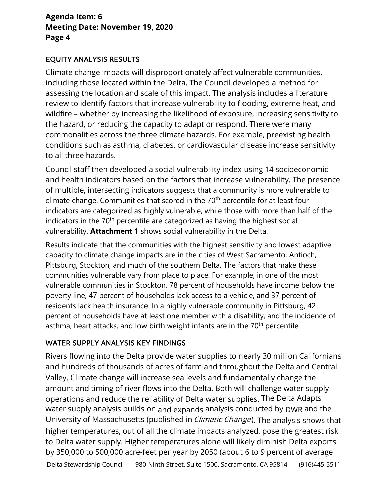#### EQUITY ANALYSIS RESULTS

Climate change impacts will disproportionately affect vulnerable communities, including those located within the Delta. The Council developed a method for assessing the location and scale of this impact. The analysis includes a literature review to identify factors that increase vulnerability to flooding, extreme heat, and wildfire – whether by increasing the likelihood of exposure, increasing sensitivity to the hazard, or reducing the capacity to adapt or respond. There were many commonalities across the three climate hazards. For example, preexisting health conditions such as asthma, diabetes, or cardiovascular disease increase sensitivity to all three hazards.

Council staff then developed a social vulnerability index using 14 socioeconomic and health indicators based on the factors that increase vulnerability. The presence of multiple, intersecting indicators suggests that a community is more vulnerable to climate change. Communities that scored in the 70<sup>th</sup> percentile for at least four indicators are categorized as highly vulnerable, while those with more than half of the indicators in the 70<sup>th</sup> percentile are categorized as having the highest social vulnerability. **Attachment 1** shows social vulnerability in the Delta.

Results indicate that the communities with the highest sensitivity and lowest adaptive capacity to climate change impacts are in the cities of West Sacramento, Antioch, Pittsburg, Stockton, and much of the southern Delta. The factors that make these communities vulnerable vary from place to place. For example, in one of the most vulnerable communities in Stockton, 78 percent of households have income below the poverty line, 47 percent of households lack access to a vehicle, and 37 percent of residents lack health insurance. In a highly vulnerable community in Pittsburg, 42 percent of households have at least one member with a disability, and the incidence of asthma, heart attacks, and low birth weight infants are in the  $70<sup>th</sup>$  percentile.

### WATER SUPPLY ANALYSIS KEY FINDINGS

Rivers flowing into the Delta provide water supplies to nearly 30 million Californians and hundreds of thousands of acres of farmland throughout the Delta and Central Valley. Climate change will increase sea levels and fundamentally change the amount and timing of river flows into the Delta. Both will challenge water supply operations and reduce the reliability of Delta water supplies. The Delta Adapts water supply analysis builds on and expands analysis conducted by DWR and the University of Massachusetts (published in *Climatic Change*). The analysis shows that higher temperatures, out of all the climate impacts analyzed, pose the greatest risk to Delta water supply. Higher temperatures alone will likely diminish Delta exports by 350,000 to 500,000 acre-feet per year by 2050 (about 6 to 9 percent of average Delta Stewardship Council 980 Ninth Street, Suite 1500, Sacramento, CA 95814 (916)445-5511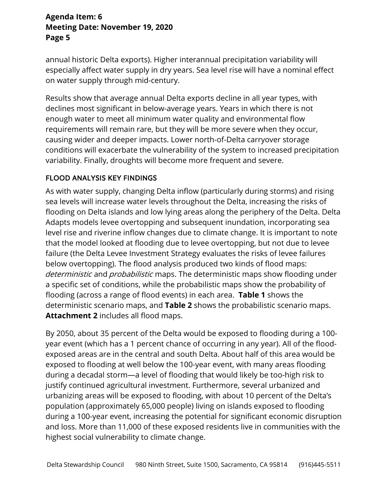annual historic Delta exports). Higher interannual precipitation variability will especially affect water supply in dry years. Sea level rise will have a nominal effect on water supply through mid-century.

Results show that average annual Delta exports decline in all year types, with declines most significant in below-average years. Years in which there is not enough water to meet all minimum water quality and environmental flow requirements will remain rare, but they will be more severe when they occur, causing wider and deeper impacts. Lower north-of-Delta carryover storage conditions will exacerbate the vulnerability of the system to increased precipitation variability. Finally, droughts will become more frequent and severe.

### FLOOD ANALYSIS KEY FINDINGS

As with water supply, changing Delta inflow (particularly during storms) and rising sea levels will increase water levels throughout the Delta, increasing the risks of flooding on Delta islands and low lying areas along the periphery of the Delta. Delta Adapts models levee overtopping and subsequent inundation, incorporating sea level rise and riverine inflow changes due to climate change. It is important to note that the model looked at flooding due to levee overtopping, but not due to levee failure (the Delta Levee Investment Strategy evaluates the risks of levee failures below overtopping). The flood analysis produced two kinds of flood maps: deterministic and probabilistic maps. The deterministic maps show flooding under a specific set of conditions, while the probabilistic maps show the probability of flooding (across a range of flood events) in each area. **Table 1** shows the deterministic scenario maps, and **Table 2** shows the probabilistic scenario maps. **Attachment 2** includes all flood maps.

By 2050, about 35 percent of the Delta would be exposed to flooding during a 100 year event (which has a 1 percent chance of occurring in any year). All of the floodexposed areas are in the central and south Delta. About half of this area would be exposed to flooding at well below the 100-year event, with many areas flooding during a decadal storm—a level of flooding that would likely be too-high risk to justify continued agricultural investment. Furthermore, several urbanized and urbanizing areas will be exposed to flooding, with about 10 percent of the Delta's population (approximately 65,000 people) living on islands exposed to flooding during a 100-year event, increasing the potential for significant economic disruption and loss. More than 11,000 of these exposed residents live in communities with the highest social vulnerability to climate change.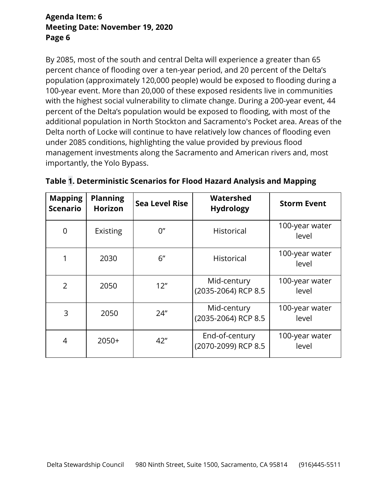By 2085, most of the south and central Delta will experience a greater than 65 percent chance of flooding over a ten-year period, and 20 percent of the Delta's population (approximately 120,000 people) would be exposed to flooding during a 100-year event. More than 20,000 of these exposed residents live in communities with the highest social vulnerability to climate change. During a 200-year event, 44 percent of the Delta's population would be exposed to flooding, with most of the additional population in North Stockton and Sacramento's Pocket area. Areas of the Delta north of Locke will continue to have relatively low chances of flooding even under 2085 conditions, highlighting the value provided by previous flood management investments along the Sacramento and American rivers and, most importantly, the Yolo Bypass.

| <b>Mapping</b><br><b>Scenario</b> | <b>Planning</b><br><b>Horizon</b> | <b>Sea Level Rise</b> | Watershed<br><b>Hydrology</b>         | <b>Storm Event</b>      |  |  |
|-----------------------------------|-----------------------------------|-----------------------|---------------------------------------|-------------------------|--|--|
| 0                                 | Existing                          | 0''                   | <b>Historical</b>                     | 100-year water<br>level |  |  |
|                                   | 2030                              | 6"                    | <b>Historical</b>                     | 100-year water<br>level |  |  |
| $\overline{2}$                    | 2050                              | 12"                   | Mid-century<br>(2035-2064) RCP 8.5    | 100-year water<br>level |  |  |
| 3                                 | 2050                              | 24"                   | Mid-century<br>(2035-2064) RCP 8.5    | 100-year water<br>level |  |  |
| 4                                 | $2050+$                           | 42"                   | End-of-century<br>(2070-2099) RCP 8.5 | 100-year water<br>level |  |  |

|  | Table 1. Deterministic Scenarios for Flood Hazard Analysis and Mapping |  |  |  |  |
|--|------------------------------------------------------------------------|--|--|--|--|
|--|------------------------------------------------------------------------|--|--|--|--|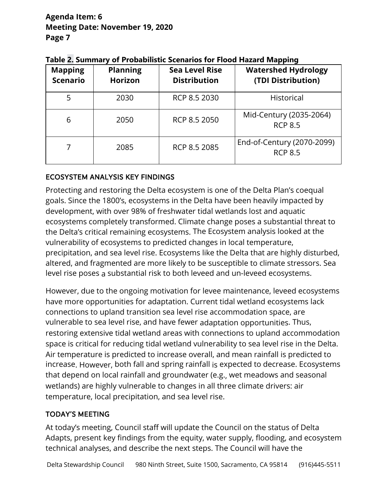| <b>Mapping</b><br><b>Scenario</b> | <b>Planning</b><br><b>Horizon</b> | <b>Sea Level Rise</b><br><b>Distribution</b> | <b>Watershed Hydrology</b><br>(TDI Distribution) |
|-----------------------------------|-----------------------------------|----------------------------------------------|--------------------------------------------------|
| 5                                 | 2030                              | RCP 8.5 2030                                 | <b>Historical</b>                                |
| 6                                 | 2050                              | RCP 8.5 2050                                 | Mid-Century (2035-2064)<br><b>RCP 8.5</b>        |
|                                   | 2085                              | RCP 8.5 2085                                 | End-of-Century (2070-2099)<br><b>RCP 8.5</b>     |

|  |  | Table 2. Summary of Probabilistic Scenarios for Flood Hazard Mapping |  |  |  |
|--|--|----------------------------------------------------------------------|--|--|--|
|  |  |                                                                      |  |  |  |

#### ECOSYSTEM ANALYSIS KEY FINDINGS

Protecting and restoring the Delta ecosystem is one of the Delta Plan's coequal goals. Since the 1800's, ecosystems in the Delta have been heavily impacted by development, with over 98% of freshwater tidal wetlands lost and aquatic ecosystems completely transformed. Climate change poses a substantial threat to the Delta's critical remaining ecosystems. The Ecosystem analysis looked at the vulnerability of ecosystems to predicted changes in local temperature, precipitation, and sea level rise. Ecosystems like the Delta that are highly disturbed, altered, and fragmented are more likely to be susceptible to climate stressors. Sea level rise poses a substantial risk to both leveed and un-leveed ecosystems.

However, due to the ongoing motivation for levee maintenance, leveed ecosystems have more opportunities for adaptation. Current tidal wetland ecosystems lack connections to upland transition sea level rise accommodation space, are vulnerable to sea level rise, and have fewer adaptation opportunities. Thus, restoring extensive tidal wetland areas with connections to upland accommodation space is critical for reducing tidal wetland vulnerability to sea level rise in the Delta. Air temperature is predicted to increase overall, and mean rainfall is predicted to increase. However, both fall and spring rainfall is expected to decrease. Ecosystems that depend on local rainfall and groundwater (e.g., wet meadows and seasonal wetlands) are highly vulnerable to changes in all three climate drivers: air temperature, local precipitation, and sea level rise.

### TODAY'S MEETING

At today's meeting, Council staff will update the Council on the status of Delta Adapts, present key findings from the equity, water supply, flooding, and ecosystem technical analyses, and describe the next steps. The Council will have the

Delta Stewardship Council 980 Ninth Street, Suite 1500, Sacramento, CA 95814 (916)445-5511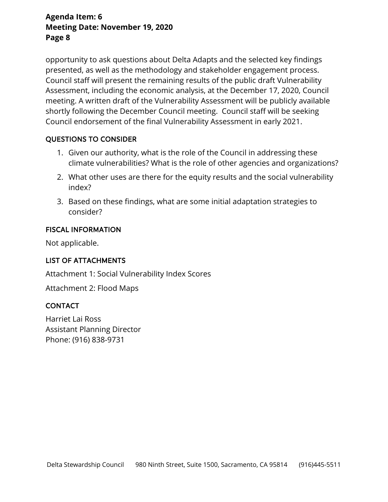opportunity to ask questions about Delta Adapts and the selected key findings presented, as well as the methodology and stakeholder engagement process. Council staff will present the remaining results of the public draft Vulnerability Assessment, including the economic analysis, at the December 17, 2020, Council meeting. A written draft of the Vulnerability Assessment will be publicly available shortly following the December Council meeting. Council staff will be seeking Council endorsement of the final Vulnerability Assessment in early 2021.

#### QUESTIONS TO CONSIDER

- 1. Given our authority, what is the role of the Council in addressing these climate vulnerabilities? What is the role of other agencies and organizations?
- 2. What other uses are there for the equity results and the social vulnerability index?
- 3. Based on these findings, what are some initial adaptation strategies to consider?

#### FISCAL INFORMATION

Not applicable.

### LIST OF ATTACHMENTS

Attachment 1: Social Vulnerability Index Scores

Attachment 2: Flood Maps

### CONTACT

Harriet Lai Ross Assistant Planning Director Phone: (916) 838-9731